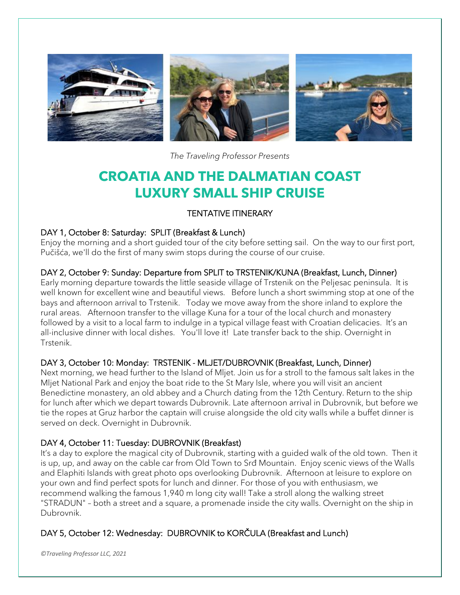

*The Traveling Professor Presents*

# **CROATIA AND THE DALMATIAN COAST LUXURY SMALL SHIP CRUISE**

# TENTATIVE ITINERARY

#### DAY 1, October 8: Saturday: SPLIT (Breakfast & Lunch)

Enjoy the morning and a short guided tour of the city before setting sail. On the way to our first port, Pučišća, we'll do the first of many swim stops during the course of our cruise.

#### DAY 2, October 9: Sunday: Departure from SPLIT to TRSTENIK/KUNA (Breakfast, Lunch, Dinner)

Early morning departure towards the little seaside village of Trstenik on the Peljesac peninsula. It is well known for excellent wine and beautiful views. Before lunch a short swimming stop at one of the bays and afternoon arrival to Trstenik. Today we move away from the shore inland to explore the rural areas. Afternoon transfer to the village Kuna for a tour of the local church and monastery followed by a visit to a local farm to indulge in a typical village feast with Croatian delicacies. It's an all-inclusive dinner with local dishes. You'll love it! Late transfer back to the ship. Overnight in Trstenik.

### DAY 3, October 10: Monday: TRSTENIK - MLJET/DUBROVNIK (Breakfast, Lunch, Dinner)

Next morning, we head further to the Island of Mljet. Join us for a stroll to the famous salt lakes in the Mljet National Park and enjoy the boat ride to the St Mary Isle, where you will visit an ancient Benedictine monastery, an old abbey and a Church dating from the 12th Century. Return to the ship for lunch after which we depart towards Dubrovnik. Late afternoon arrival in Dubrovnik, but before we tie the ropes at Gruz harbor the captain will cruise alongside the old city walls while a buffet dinner is served on deck. Overnight in Dubrovnik.

# DAY 4, October 11: Tuesday: DUBROVNIK (Breakfast)

It's a day to explore the magical city of Dubrovnik, starting with a guided walk of the old town. Then it is up, up, and away on the cable car from Old Town to Srđ Mountain. Enjoy scenic views of the Walls and Elaphiti Islands with great photo ops overlooking Dubrovnik. Afternoon at leisure to explore on your own and find perfect spots for lunch and dinner. For those of you with enthusiasm, we recommend walking the famous 1,940 m long city wall! Take a stroll along the walking street "STRADUN" – both a street and a square, a promenade inside the city walls. Overnight on the ship in Dubrovnik.

# DAY 5, October 12: Wednesday: DUBROVNIK to KORČULA (Breakfast and Lunch)

*©Traveling Professor LLC, 2021*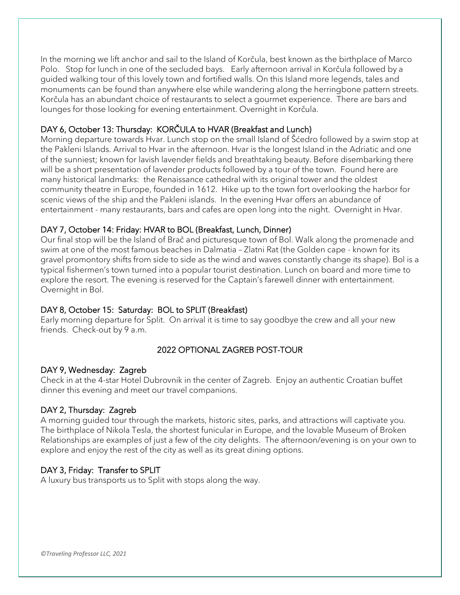In the morning we lift anchor and sail to the Island of Korčula, best known as the birthplace of Marco Polo. Stop for lunch in one of the secluded bays. Early afternoon arrival in Korčula followed by a guided walking tour of this lovely town and fortified walls. On this Island more legends, tales and monuments can be found than anywhere else while wandering along the herringbone pattern streets. Korčula has an abundant choice of restaurants to select a gourmet experience. There are bars and lounges for those looking for evening entertainment. Overnight in Korčula.

#### DAY 6, October 13: Thursday: KORČULA to HVAR (Breakfast and Lunch)

Morning departure towards Hvar. Lunch stop on the small Island of Šćedro followed by a swim stop at the Pakleni Islands. Arrival to Hvar in the afternoon. Hvar is the longest Island in the Adriatic and one of the sunniest; known for lavish lavender fields and breathtaking beauty. Before disembarking there will be a short presentation of lavender products followed by a tour of the town. Found here are many historical landmarks: the Renaissance cathedral with its original tower and the oldest community theatre in Europe, founded in 1612. Hike up to the town fort overlooking the harbor for scenic views of the ship and the Pakleni islands. In the evening Hvar offers an abundance of entertainment - many restaurants, bars and cafes are open long into the night. Overnight in Hvar.

#### DAY 7, October 14: Friday: HVAR to BOL (Breakfast, Lunch, Dinner)

Our final stop will be the Island of Brač and picturesque town of Bol. Walk along the promenade and swim at one of the most famous beaches in Dalmatia – Zlatni Rat (the Golden cape - known for its gravel promontory shifts from side to side as the wind and waves constantly change its shape). Bol is a typical fishermen's town turned into a popular tourist destination. Lunch on board and more time to explore the resort. The evening is reserved for the Captain's farewell dinner with entertainment. Overnight in Bol.

# DAY 8, October 15: Saturday: BOL to SPLIT (Breakfast)

Early morning departure for Split. On arrival it is time to say goodbye the crew and all your new friends. Check-out by 9 a.m.

# 2022 OPTIONAL ZAGREB POST-TOUR

#### DAY 9, Wednesday: Zagreb

Check in at the 4-star Hotel Dubrovnik in the center of Zagreb. Enjoy an authentic Croatian buffet dinner this evening and meet our travel companions.

#### DAY 2, Thursday: Zagreb

A morning guided tour through the markets, historic sites, parks, and attractions will captivate you. The birthplace of Nikola Tesla, the shortest funicular in Europe, and the lovable Museum of Broken Relationships are examples of just a few of the city delights. The afternoon/evening is on your own to explore and enjoy the rest of the city as well as its great dining options.

#### DAY 3, Friday: Transfer to SPLIT

A luxury bus transports us to Split with stops along the way.